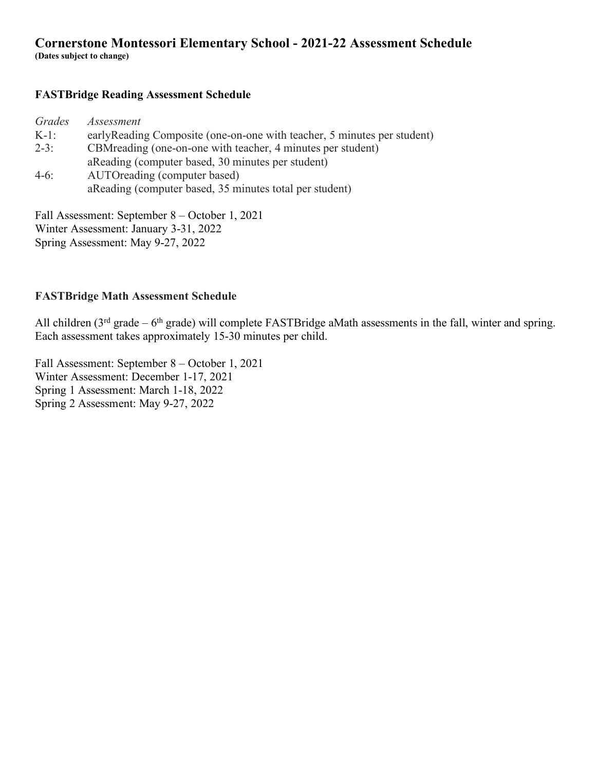# **Cornerstone Montessori Elementary School - 2021-22 Assessment Schedule**

**(Dates subject to change)**

## **FASTBridge Reading Assessment Schedule**

| Assessment                                                               |
|--------------------------------------------------------------------------|
| early Reading Composite (one-on-one with teacher, 5 minutes per student) |
| CBM reading (one-on-one with teacher, 4 minutes per student)             |
| aReading (computer based, 30 minutes per student)                        |
| AUTOreading (computer based)                                             |
| aReading (computer based, 35 minutes total per student)                  |
|                                                                          |

Fall Assessment: September 8 – October 1, 2021 Winter Assessment: January 3-31, 2022 Spring Assessment: May 9-27, 2022

## **FASTBridge Math Assessment Schedule**

All children ( $3<sup>rd</sup>$  grade –  $6<sup>th</sup>$  grade) will complete FASTBridge aMath assessments in the fall, winter and spring. Each assessment takes approximately 15-30 minutes per child.

Fall Assessment: September 8 – October 1, 2021 Winter Assessment: December 1-17, 2021 Spring 1 Assessment: March 1-18, 2022 Spring 2 Assessment: May 9-27, 2022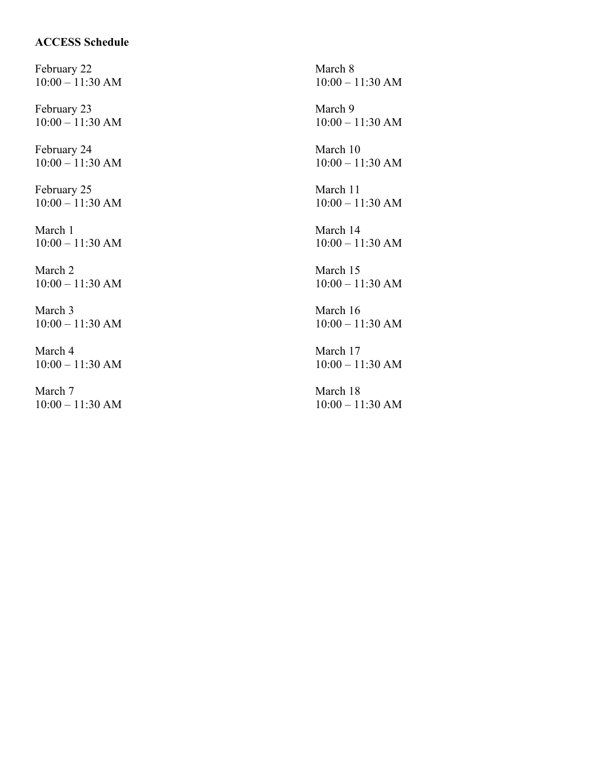## **ACCESS Schedule**

February 22 10:00 – 11:30 AM

February 23 10:00 – 11:30 AM

February 24 10:00 – 11:30 AM

February 25 10:00 – 11:30 AM

March 1 10:00 – 11:30 AM

March 2 10:00 – 11:30 AM

March 3 10:00 – 11:30 AM

March 4 10:00 – 11:30 AM

March 7 10:00 – 11:30 AM

March 8 10:00 – 11:30 AM March 9 10:00 – 11:30 AM March 10 10:00 – 11:30 AM March 11 10:00 – 11:30 AM March 14 10:00 – 11:30 AM March 15 10:00 – 11:30 AM March 16 10:00 – 11:30 AM March 17 10:00 – 11:30 AM March 18 10:00 – 11:30 AM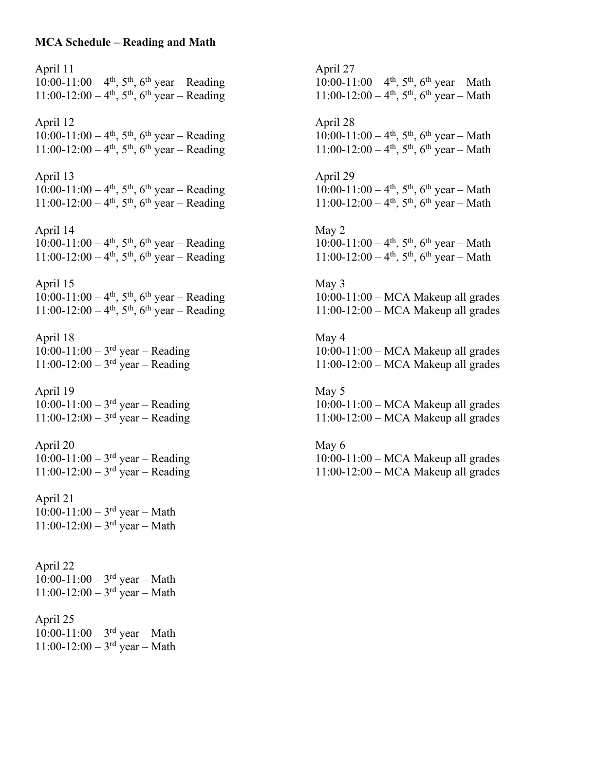#### **MCA Schedule – Reading and Math**

April 11  $10:00-11:00-4<sup>th</sup>$ , 5<sup>th</sup>, 6<sup>th</sup> year – Reading  $11:00-12:00-4<sup>th</sup>$ ,  $5<sup>th</sup>$ ,  $6<sup>th</sup>$  year – Reading April 12  $10:00-11:00-4$ <sup>th</sup>, 5<sup>th</sup>, 6<sup>th</sup> year – Reading 11:00-12:00 – 4<sup>th</sup>, 5<sup>th</sup>, 6<sup>th</sup> year – Reading April 13 10:00-11:00 – 4<sup>th</sup>, 5<sup>th</sup>, 6<sup>th</sup> year – Reading 11:00-12:00 –  $4^{\text{th}}$ ,  $5^{\text{th}}$ ,  $6^{\text{th}}$  year – Reading April 14 10:00-11:00 – 4<sup>th</sup>, 5<sup>th</sup>, 6<sup>th</sup> year – Reading  $11:00-12:00-4<sup>th</sup>$ ,  $5<sup>th</sup>$ ,  $6<sup>th</sup>$  year – Reading April 15 10:00-11:00 – 4<sup>th</sup>, 5<sup>th</sup>, 6<sup>th</sup> year – Reading  $11:00-12:00-4$ <sup>th</sup>, 5<sup>th</sup>, 6<sup>th</sup> year – Reading April 18  $10:00-11:00-3^{rd}$  year – Reading  $11:00-12:00-3^{rd}$  year – Reading April 19  $10:00-11:00-3$ <sup>rd</sup> year – Reading  $11:00-12:00 - 3$ <sup>rd</sup> year – Reading April 20  $10:00-11:00-3^{rd}$  year – Reading  $11:00-12:00 - 3^{rd}$  year – Reading April 21  $10:00-11:00-3^{rd}$  year – Math  $11:00-12:00-3^{rd}$  year – Math April 22  $10:00-11:00-3$ <sup>rd</sup> year – Math  $11:00-12:00-3^{rd}$  year – Math April 25  $10:00-11:00-3^{rd}$  year – Math 11:00-12:00 –  $3^{rd}$  year – Math

April 27  $10:00-11:00-4<sup>th</sup>$ ,  $5<sup>th</sup>$ ,  $6<sup>th</sup>$  year – Math  $11:00-12:00-4$ <sup>th</sup>, 5<sup>th</sup>, 6<sup>th</sup> year – Math April 28  $10:00-11:00-4$ <sup>th</sup>, 5<sup>th</sup>, 6<sup>th</sup> year – Math  $11:00-12:00-4<sup>th</sup>$ ,  $5<sup>th</sup>$ ,  $6<sup>th</sup>$  year – Math April 29  $10:00-11:00-4<sup>th</sup>$ ,  $5<sup>th</sup>$ ,  $6<sup>th</sup>$  year – Math  $11:00-12:00-4<sup>th</sup>$ ,  $5<sup>th</sup>$ ,  $6<sup>th</sup>$  year – Math May 2  $10:00-11:00-4<sup>th</sup>$ , 5<sup>th</sup>, 6<sup>th</sup> year – Math  $11:00-12:00-4$ <sup>th</sup>, 5<sup>th</sup>, 6<sup>th</sup> year – Math May 3 10:00-11:00 – MCA Makeup all grades 11:00-12:00 – MCA Makeup all grades May 4 10:00-11:00 – MCA Makeup all grades 11:00-12:00 – MCA Makeup all grades May 5 10:00-11:00 – MCA Makeup all grades 11:00-12:00 – MCA Makeup all grades May 6 10:00-11:00 – MCA Makeup all grades 11:00-12:00 – MCA Makeup all grades